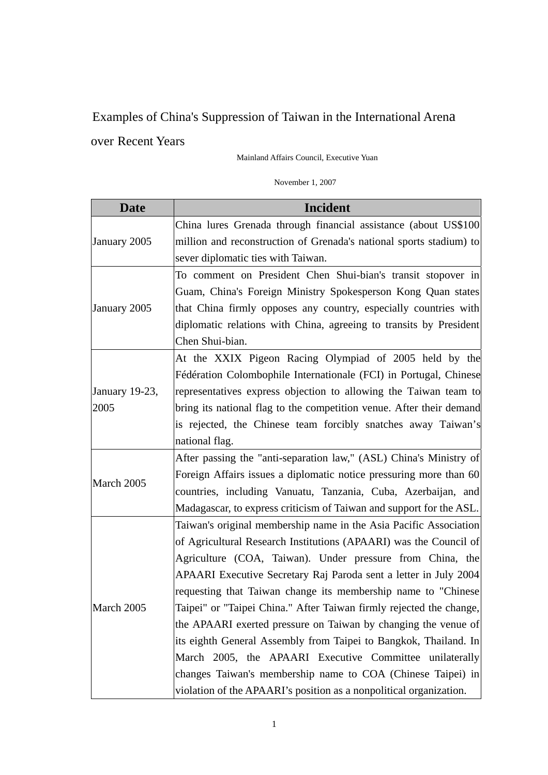## Examples of China's Suppression of Taiwan in the International Arena over Recent Years

Mainland Affairs Council, Executive Yuan

## November 1, 2007

| <b>Date</b>    | <b>Incident</b>                                                      |
|----------------|----------------------------------------------------------------------|
| January 2005   | China lures Grenada through financial assistance (about US\$100      |
|                | million and reconstruction of Grenada's national sports stadium) to  |
|                | sever diplomatic ties with Taiwan.                                   |
|                | To comment on President Chen Shui-bian's transit stopover in         |
|                | Guam, China's Foreign Ministry Spokesperson Kong Quan states         |
| January 2005   | that China firmly opposes any country, especially countries with     |
|                | diplomatic relations with China, agreeing to transits by President   |
|                | Chen Shui-bian.                                                      |
|                | At the XXIX Pigeon Racing Olympiad of 2005 held by the               |
|                | Fédération Colombophile Internationale (FCI) in Portugal, Chinese    |
| January 19-23, | representatives express objection to allowing the Taiwan team to     |
| 2005           | bring its national flag to the competition venue. After their demand |
|                | is rejected, the Chinese team forcibly snatches away Taiwan's        |
|                | national flag.                                                       |
|                | After passing the "anti-separation law," (ASL) China's Ministry of   |
| March 2005     | Foreign Affairs issues a diplomatic notice pressuring more than 60   |
|                | countries, including Vanuatu, Tanzania, Cuba, Azerbaijan, and        |
|                | Madagascar, to express criticism of Taiwan and support for the ASL.  |
|                | Taiwan's original membership name in the Asia Pacific Association    |
|                | of Agricultural Research Institutions (APAARI) was the Council of    |
|                | Agriculture (COA, Taiwan). Under pressure from China, the            |
|                | APAARI Executive Secretary Raj Paroda sent a letter in July 2004     |
|                | requesting that Taiwan change its membership name to "Chinese        |
| March 2005     | Taipei" or "Taipei China." After Taiwan firmly rejected the change,  |
|                | the APAARI exerted pressure on Taiwan by changing the venue of       |
|                | its eighth General Assembly from Taipei to Bangkok, Thailand. In     |
|                | March 2005, the APAARI Executive Committee unilaterally              |
|                | changes Taiwan's membership name to COA (Chinese Taipei) in          |
|                | violation of the APAARI's position as a nonpolitical organization.   |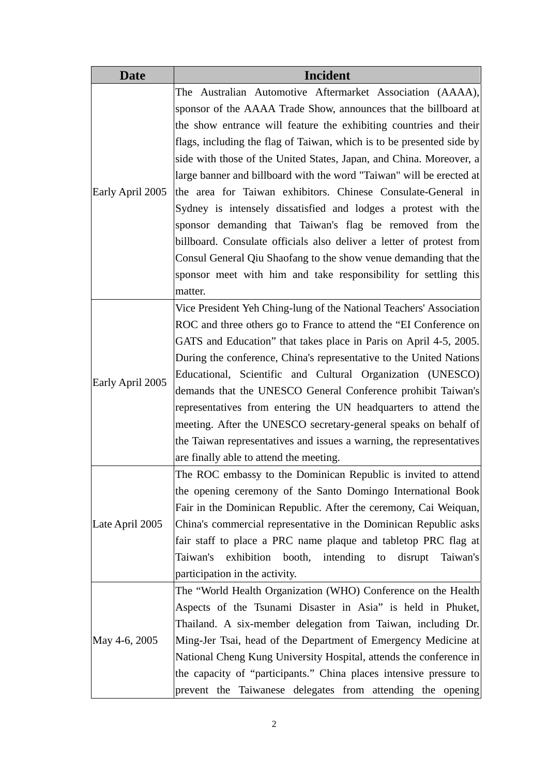| <b>Date</b>      | <b>Incident</b>                                                       |
|------------------|-----------------------------------------------------------------------|
|                  | The Australian Automotive Aftermarket Association (AAAA),             |
|                  | sponsor of the AAAA Trade Show, announces that the billboard at       |
|                  | the show entrance will feature the exhibiting countries and their     |
|                  | flags, including the flag of Taiwan, which is to be presented side by |
|                  | side with those of the United States, Japan, and China. Moreover, a   |
|                  | large banner and billboard with the word "Taiwan" will be erected at  |
| Early April 2005 | the area for Taiwan exhibitors. Chinese Consulate-General in          |
|                  | Sydney is intensely dissatisfied and lodges a protest with the        |
|                  | sponsor demanding that Taiwan's flag be removed from the              |
|                  | billboard. Consulate officials also deliver a letter of protest from  |
|                  | Consul General Qiu Shaofang to the show venue demanding that the      |
|                  | sponsor meet with him and take responsibility for settling this       |
|                  | matter.                                                               |
|                  | Vice President Yeh Ching-lung of the National Teachers' Association   |
|                  | ROC and three others go to France to attend the "EI Conference on     |
|                  | GATS and Education" that takes place in Paris on April 4-5, 2005.     |
|                  | During the conference, China's representative to the United Nations   |
|                  | Educational, Scientific and Cultural Organization (UNESCO)            |
| Early April 2005 | demands that the UNESCO General Conference prohibit Taiwan's          |
|                  | representatives from entering the UN headquarters to attend the       |
|                  | meeting. After the UNESCO secretary-general speaks on behalf of       |
|                  | the Taiwan representatives and issues a warning, the representatives  |
|                  | are finally able to attend the meeting.                               |
|                  | The ROC embassy to the Dominican Republic is invited to attend        |
|                  | the opening ceremony of the Santo Domingo International Book          |
|                  | Fair in the Dominican Republic. After the ceremony, Cai Weiquan,      |
| Late April 2005  | China's commercial representative in the Dominican Republic asks      |
|                  | fair staff to place a PRC name plaque and tabletop PRC flag at        |
|                  | exhibition booth, intending to<br>Taiwan's<br>Taiwan's<br>disrupt     |
|                  | participation in the activity.                                        |
|                  | The "World Health Organization (WHO) Conference on the Health         |
| May 4-6, 2005    | Aspects of the Tsunami Disaster in Asia" is held in Phuket,           |
|                  | Thailand. A six-member delegation from Taiwan, including Dr.          |
|                  | Ming-Jer Tsai, head of the Department of Emergency Medicine at        |
|                  | National Cheng Kung University Hospital, attends the conference in    |
|                  | the capacity of "participants." China places intensive pressure to    |
|                  | prevent the Taiwanese delegates from attending the opening            |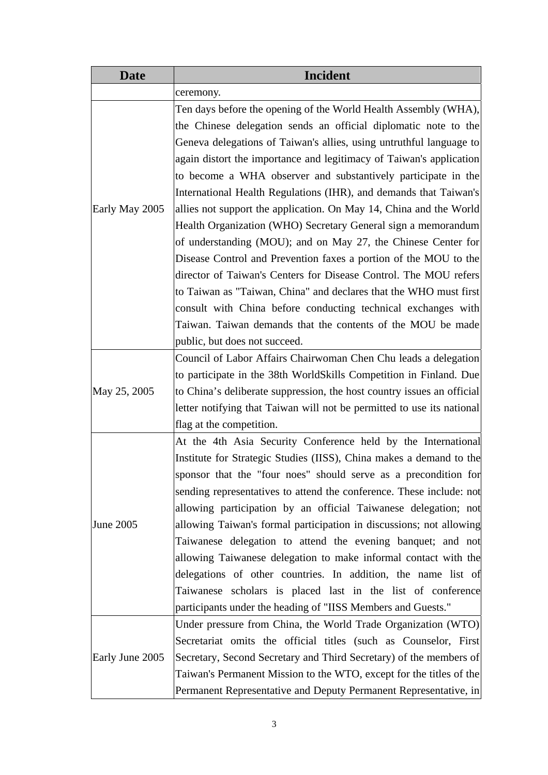| <b>Date</b>     | Incident                                                               |
|-----------------|------------------------------------------------------------------------|
|                 | ceremony.                                                              |
|                 | Ten days before the opening of the World Health Assembly (WHA),        |
|                 | the Chinese delegation sends an official diplomatic note to the        |
|                 | Geneva delegations of Taiwan's allies, using untruthful language to    |
|                 | again distort the importance and legitimacy of Taiwan's application    |
|                 | to become a WHA observer and substantively participate in the          |
|                 | International Health Regulations (IHR), and demands that Taiwan's      |
| Early May 2005  | allies not support the application. On May 14, China and the World     |
|                 | Health Organization (WHO) Secretary General sign a memorandum          |
|                 | of understanding (MOU); and on May 27, the Chinese Center for          |
|                 | Disease Control and Prevention faxes a portion of the MOU to the       |
|                 | director of Taiwan's Centers for Disease Control. The MOU refers       |
|                 | to Taiwan as "Taiwan, China" and declares that the WHO must first      |
|                 | consult with China before conducting technical exchanges with          |
|                 | Taiwan. Taiwan demands that the contents of the MOU be made            |
|                 | public, but does not succeed.                                          |
|                 | Council of Labor Affairs Chairwoman Chen Chu leads a delegation        |
|                 | to participate in the 38th WorldSkills Competition in Finland. Due     |
| May 25, 2005    | to China's deliberate suppression, the host country issues an official |
|                 | letter notifying that Taiwan will not be permitted to use its national |
|                 | flag at the competition.                                               |
|                 | At the 4th Asia Security Conference held by the International          |
|                 | Institute for Strategic Studies (IISS), China makes a demand to the    |
|                 | sponsor that the "four noes" should serve as a precondition for        |
|                 | sending representatives to attend the conference. These include: not   |
|                 | allowing participation by an official Taiwanese delegation; not        |
| June 2005       | allowing Taiwan's formal participation in discussions; not allowing    |
|                 | Taiwanese delegation to attend the evening banquet; and not            |
|                 | allowing Taiwanese delegation to make informal contact with the        |
|                 | delegations of other countries. In addition, the name list of          |
|                 | Taiwanese scholars is placed last in the list of conference            |
|                 | participants under the heading of "IISS Members and Guests."           |
|                 | Under pressure from China, the World Trade Organization (WTO)          |
|                 | Secretariat omits the official titles (such as Counselor, First        |
| Early June 2005 | Secretary, Second Secretary and Third Secretary) of the members of     |
|                 | Taiwan's Permanent Mission to the WTO, except for the titles of the    |
|                 | Permanent Representative and Deputy Permanent Representative, in       |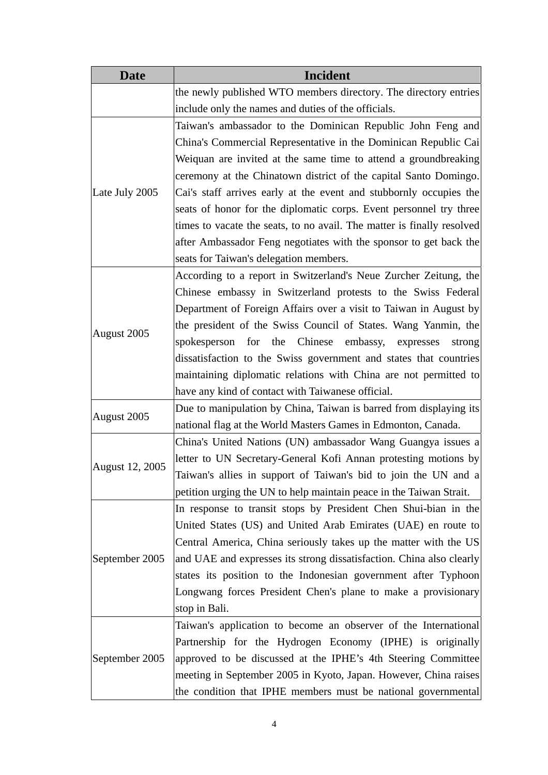| <b>Date</b>     | Incident                                                               |
|-----------------|------------------------------------------------------------------------|
|                 | the newly published WTO members directory. The directory entries       |
|                 | include only the names and duties of the officials.                    |
|                 | Taiwan's ambassador to the Dominican Republic John Feng and            |
|                 | China's Commercial Representative in the Dominican Republic Cai        |
|                 | Weiquan are invited at the same time to attend a groundbreaking        |
|                 | ceremony at the Chinatown district of the capital Santo Domingo.       |
| Late July 2005  | Cai's staff arrives early at the event and stubbornly occupies the     |
|                 | seats of honor for the diplomatic corps. Event personnel try three     |
|                 | times to vacate the seats, to no avail. The matter is finally resolved |
|                 | after Ambassador Feng negotiates with the sponsor to get back the      |
|                 | seats for Taiwan's delegation members.                                 |
|                 | According to a report in Switzerland's Neue Zurcher Zeitung, the       |
|                 | Chinese embassy in Switzerland protests to the Swiss Federal           |
|                 | Department of Foreign Affairs over a visit to Taiwan in August by      |
|                 | the president of the Swiss Council of States. Wang Yanmin, the         |
| August 2005     | spokesperson for the Chinese embassy, expresses<br>strong              |
|                 | dissatisfaction to the Swiss government and states that countries      |
|                 | maintaining diplomatic relations with China are not permitted to       |
|                 | have any kind of contact with Taiwanese official.                      |
|                 | Due to manipulation by China, Taiwan is barred from displaying its     |
| August 2005     | national flag at the World Masters Games in Edmonton, Canada.          |
|                 | China's United Nations (UN) ambassador Wang Guangya issues a           |
|                 | letter to UN Secretary-General Kofi Annan protesting motions by        |
| August 12, 2005 | Taiwan's allies in support of Taiwan's bid to join the UN and a        |
|                 | petition urging the UN to help maintain peace in the Taiwan Strait.    |
|                 | In response to transit stops by President Chen Shui-bian in the        |
|                 | United States (US) and United Arab Emirates (UAE) en route to          |
|                 | Central America, China seriously takes up the matter with the US       |
| September 2005  | and UAE and expresses its strong dissatisfaction. China also clearly   |
|                 | states its position to the Indonesian government after Typhoon         |
|                 | Longwang forces President Chen's plane to make a provisionary          |
|                 | stop in Bali.                                                          |
| September 2005  | Taiwan's application to become an observer of the International        |
|                 | Partnership for the Hydrogen Economy (IPHE) is originally              |
|                 | approved to be discussed at the IPHE's 4th Steering Committee          |
|                 | meeting in September 2005 in Kyoto, Japan. However, China raises       |
|                 | the condition that IPHE members must be national governmental          |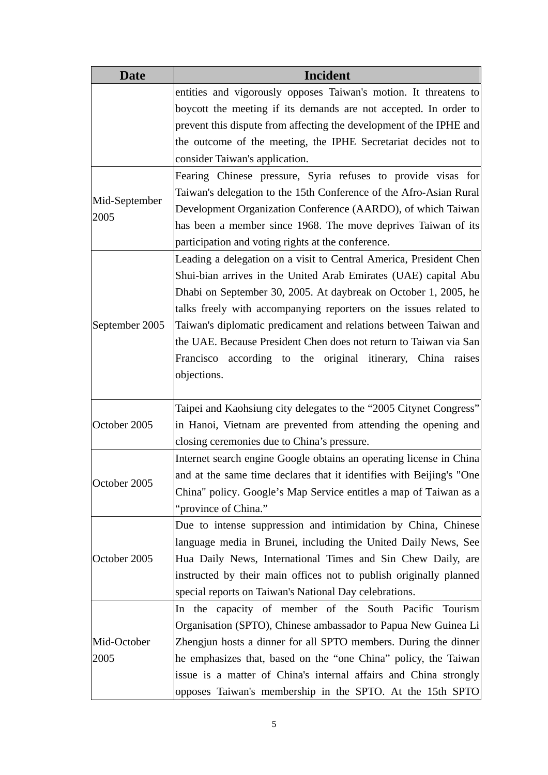| <b>Date</b>    | <b>Incident</b>                                                      |
|----------------|----------------------------------------------------------------------|
|                | entities and vigorously opposes Taiwan's motion. It threatens to     |
|                | boycott the meeting if its demands are not accepted. In order to     |
|                | prevent this dispute from affecting the development of the IPHE and  |
|                | the outcome of the meeting, the IPHE Secretariat decides not to      |
|                | consider Taiwan's application.                                       |
|                | Fearing Chinese pressure, Syria refuses to provide visas for         |
| Mid-September  | Taiwan's delegation to the 15th Conference of the Afro-Asian Rural   |
| 2005           | Development Organization Conference (AARDO), of which Taiwan         |
|                | has been a member since 1968. The move deprives Taiwan of its        |
|                | participation and voting rights at the conference.                   |
|                | Leading a delegation on a visit to Central America, President Chen   |
|                | Shui-bian arrives in the United Arab Emirates (UAE) capital Abu      |
|                | Dhabi on September 30, 2005. At daybreak on October 1, 2005, he      |
|                | talks freely with accompanying reporters on the issues related to    |
| September 2005 | Taiwan's diplomatic predicament and relations between Taiwan and     |
|                | the UAE. Because President Chen does not return to Taiwan via San    |
|                | Francisco according to the original itinerary, China raises          |
|                | objections.                                                          |
|                |                                                                      |
|                | Taipei and Kaohsiung city delegates to the "2005 Citynet Congress"   |
| October 2005   | in Hanoi, Vietnam are prevented from attending the opening and       |
|                | closing ceremonies due to China's pressure.                          |
|                | Internet search engine Google obtains an operating license in China  |
|                | and at the same time declares that it identifies with Beijing's "One |
| October 2005   | China" policy. Google's Map Service entitles a map of Taiwan as a    |
|                | "province of China."                                                 |
|                | Due to intense suppression and intimidation by China, Chinese        |
|                | language media in Brunei, including the United Daily News, See       |
| October 2005   | Hua Daily News, International Times and Sin Chew Daily, are          |
|                | instructed by their main offices not to publish originally planned   |
|                | special reports on Taiwan's National Day celebrations.               |
| Mid-October    | In the capacity of member of the South Pacific Tourism               |
|                | Organisation (SPTO), Chinese ambassador to Papua New Guinea Li       |
|                | Zhengjun hosts a dinner for all SPTO members. During the dinner      |
| 2005           | he emphasizes that, based on the "one China" policy, the Taiwan      |
|                | issue is a matter of China's internal affairs and China strongly     |
|                | opposes Taiwan's membership in the SPTO. At the 15th SPTO            |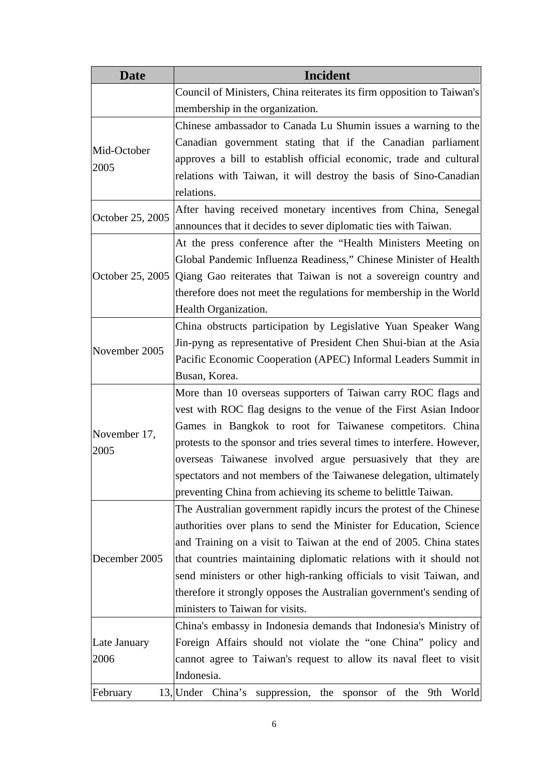| <b>Date</b>      | <b>Incident</b>                                                                  |
|------------------|----------------------------------------------------------------------------------|
|                  | Council of Ministers, China reiterates its firm opposition to Taiwan's           |
|                  | membership in the organization.                                                  |
|                  | Chinese ambassador to Canada Lu Shumin issues a warning to the                   |
|                  | Canadian government stating that if the Canadian parliament                      |
| Mid-October      | approves a bill to establish official economic, trade and cultural               |
| 2005             | relations with Taiwan, it will destroy the basis of Sino-Canadian                |
|                  | relations.                                                                       |
|                  | After having received monetary incentives from China, Senegal                    |
| October 25, 2005 | announces that it decides to sever diplomatic ties with Taiwan.                  |
|                  | At the press conference after the "Health Ministers Meeting on                   |
|                  | Global Pandemic Influenza Readiness," Chinese Minister of Health                 |
|                  | October 25, 2005 Qiang Gao reiterates that Taiwan is not a sovereign country and |
|                  | therefore does not meet the regulations for membership in the World              |
|                  | Health Organization.                                                             |
|                  | China obstructs participation by Legislative Yuan Speaker Wang                   |
| November 2005    | Jin-pyng as representative of President Chen Shui-bian at the Asia               |
|                  | Pacific Economic Cooperation (APEC) Informal Leaders Summit in                   |
|                  | Busan, Korea.                                                                    |
|                  | More than 10 overseas supporters of Taiwan carry ROC flags and                   |
|                  | vest with ROC flag designs to the venue of the First Asian Indoor                |
| November 17,     | Games in Bangkok to root for Taiwanese competitors. China                        |
| 2005             | protests to the sponsor and tries several times to interfere. However,           |
|                  | overseas Taiwanese involved argue persuasively that they are                     |
|                  | spectators and not members of the Taiwanese delegation, ultimately               |
|                  | preventing China from achieving its scheme to belittle Taiwan.                   |
|                  | The Australian government rapidly incurs the protest of the Chinese              |
|                  | authorities over plans to send the Minister for Education, Science               |
|                  | and Training on a visit to Taiwan at the end of 2005. China states               |
| December 2005    | that countries maintaining diplomatic relations with it should not               |
|                  | send ministers or other high-ranking officials to visit Taiwan, and              |
|                  | therefore it strongly opposes the Australian government's sending of             |
|                  | ministers to Taiwan for visits.                                                  |
|                  | China's embassy in Indonesia demands that Indonesia's Ministry of                |
| Late January     | Foreign Affairs should not violate the "one China" policy and                    |
| 2006             | cannot agree to Taiwan's request to allow its naval fleet to visit               |
|                  | Indonesia.                                                                       |
| February         | 13, Under China's suppression, the sponsor of the 9th<br>World                   |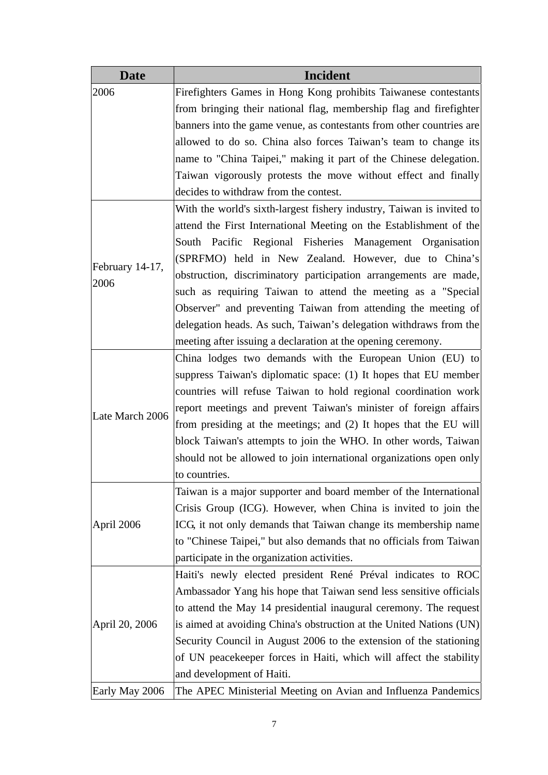| <b>Date</b>     | <b>Incident</b>                                                       |
|-----------------|-----------------------------------------------------------------------|
| 2006            | Firefighters Games in Hong Kong prohibits Taiwanese contestants       |
|                 | from bringing their national flag, membership flag and firefighter    |
|                 | banners into the game venue, as contestants from other countries are  |
|                 | allowed to do so. China also forces Taiwan's team to change its       |
|                 | name to "China Taipei," making it part of the Chinese delegation.     |
|                 | Taiwan vigorously protests the move without effect and finally        |
|                 | decides to withdraw from the contest.                                 |
|                 | With the world's sixth-largest fishery industry, Taiwan is invited to |
|                 | attend the First International Meeting on the Establishment of the    |
|                 | South Pacific Regional Fisheries Management Organisation              |
|                 | (SPRFMO) held in New Zealand. However, due to China's                 |
| February 14-17, | obstruction, discriminatory participation arrangements are made,      |
| 2006            | such as requiring Taiwan to attend the meeting as a "Special          |
|                 | Observer" and preventing Taiwan from attending the meeting of         |
|                 | delegation heads. As such, Taiwan's delegation withdraws from the     |
|                 | meeting after issuing a declaration at the opening ceremony.          |
|                 | China lodges two demands with the European Union (EU) to              |
|                 | suppress Taiwan's diplomatic space: (1) It hopes that EU member       |
|                 | countries will refuse Taiwan to hold regional coordination work       |
|                 | report meetings and prevent Taiwan's minister of foreign affairs      |
| Late March 2006 | from presiding at the meetings; and (2) It hopes that the EU will     |
|                 | block Taiwan's attempts to join the WHO. In other words, Taiwan       |
|                 | should not be allowed to join international organizations open only   |
|                 | to countries.                                                         |
|                 | Taiwan is a major supporter and board member of the International     |
|                 | Crisis Group (ICG). However, when China is invited to join the        |
| April 2006      | ICG, it not only demands that Taiwan change its membership name       |
|                 | to "Chinese Taipei," but also demands that no officials from Taiwan   |
|                 | participate in the organization activities.                           |
|                 | Haiti's newly elected president René Préval indicates to ROC          |
|                 | Ambassador Yang his hope that Taiwan send less sensitive officials    |
|                 | to attend the May 14 presidential inaugural ceremony. The request     |
| April 20, 2006  | is aimed at avoiding China's obstruction at the United Nations (UN)   |
|                 | Security Council in August 2006 to the extension of the stationing    |
|                 | of UN peacekeeper forces in Haiti, which will affect the stability    |
|                 | and development of Haiti.                                             |
| Early May 2006  | The APEC Ministerial Meeting on Avian and Influenza Pandemics         |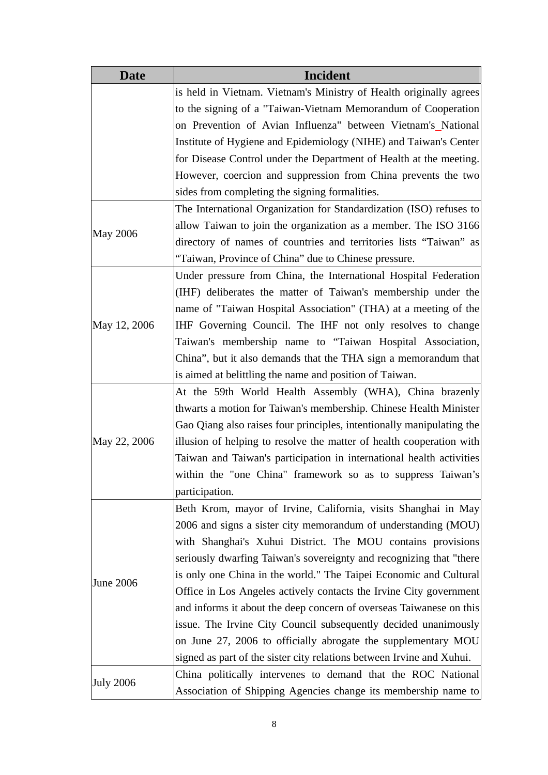| <b>Date</b>      | Incident                                                              |
|------------------|-----------------------------------------------------------------------|
|                  | is held in Vietnam. Vietnam's Ministry of Health originally agrees    |
|                  | to the signing of a "Taiwan-Vietnam Memorandum of Cooperation         |
|                  | on Prevention of Avian Influenza" between Vietnam's National          |
|                  | Institute of Hygiene and Epidemiology (NIHE) and Taiwan's Center      |
|                  | for Disease Control under the Department of Health at the meeting.    |
|                  | However, coercion and suppression from China prevents the two         |
|                  | sides from completing the signing formalities.                        |
|                  | The International Organization for Standardization (ISO) refuses to   |
|                  | allow Taiwan to join the organization as a member. The ISO 3166       |
| <b>May 2006</b>  | directory of names of countries and territories lists "Taiwan" as     |
|                  | "Taiwan, Province of China" due to Chinese pressure.                  |
|                  | Under pressure from China, the International Hospital Federation      |
|                  | (IHF) deliberates the matter of Taiwan's membership under the         |
|                  | name of "Taiwan Hospital Association" (THA) at a meeting of the       |
| May 12, 2006     | IHF Governing Council. The IHF not only resolves to change            |
|                  | Taiwan's membership name to "Taiwan Hospital Association,             |
|                  | China", but it also demands that the THA sign a memorandum that       |
|                  | is aimed at belittling the name and position of Taiwan.               |
|                  | At the 59th World Health Assembly (WHA), China brazenly               |
|                  | thwarts a motion for Taiwan's membership. Chinese Health Minister     |
|                  | Gao Qiang also raises four principles, intentionally manipulating the |
| May 22, 2006     | illusion of helping to resolve the matter of health cooperation with  |
|                  | Taiwan and Taiwan's participation in international health activities  |
|                  | within the "one China" framework so as to suppress Taiwan's           |
|                  | participation.                                                        |
|                  | Beth Krom, mayor of Irvine, California, visits Shanghai in May        |
|                  | 2006 and signs a sister city memorandum of understanding (MOU)        |
|                  | with Shanghai's Xuhui District. The MOU contains provisions           |
|                  | seriously dwarfing Taiwan's sovereignty and recognizing that "there   |
| June 2006        | is only one China in the world." The Taipei Economic and Cultural     |
|                  | Office in Los Angeles actively contacts the Irvine City government    |
|                  | and informs it about the deep concern of overseas Taiwanese on this   |
|                  | issue. The Irvine City Council subsequently decided unanimously       |
|                  | on June 27, 2006 to officially abrogate the supplementary MOU         |
|                  | signed as part of the sister city relations between Irvine and Xuhui. |
|                  | China politically intervenes to demand that the ROC National          |
| <b>July 2006</b> | Association of Shipping Agencies change its membership name to        |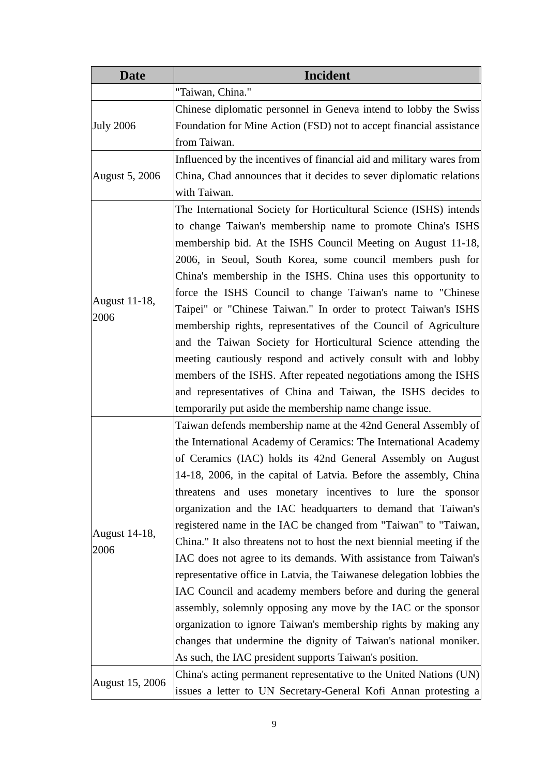| <b>Date</b>            | <b>Incident</b>                                                        |
|------------------------|------------------------------------------------------------------------|
|                        | "Taiwan, China."                                                       |
| <b>July 2006</b>       | Chinese diplomatic personnel in Geneva intend to lobby the Swiss       |
|                        | Foundation for Mine Action (FSD) not to accept financial assistance    |
|                        | from Taiwan.                                                           |
|                        | Influenced by the incentives of financial aid and military wares from  |
| <b>August 5, 2006</b>  | China, Chad announces that it decides to sever diplomatic relations    |
|                        | with Taiwan.                                                           |
|                        | The International Society for Horticultural Science (ISHS) intends     |
|                        | to change Taiwan's membership name to promote China's ISHS             |
|                        | membership bid. At the ISHS Council Meeting on August 11-18,           |
|                        | 2006, in Seoul, South Korea, some council members push for             |
|                        | China's membership in the ISHS. China uses this opportunity to         |
|                        | force the ISHS Council to change Taiwan's name to "Chinese             |
| August 11-18,          | Taipei" or "Chinese Taiwan." In order to protect Taiwan's ISHS         |
| 2006                   | membership rights, representatives of the Council of Agriculture       |
|                        | and the Taiwan Society for Horticultural Science attending the         |
|                        | meeting cautiously respond and actively consult with and lobby         |
|                        | members of the ISHS. After repeated negotiations among the ISHS        |
|                        | and representatives of China and Taiwan, the ISHS decides to           |
|                        | temporarily put aside the membership name change issue.                |
|                        | Taiwan defends membership name at the 42nd General Assembly of         |
|                        | the International Academy of Ceramics: The International Academy       |
|                        | of Ceramics (IAC) holds its 42nd General Assembly on August            |
|                        | 14-18, 2006, in the capital of Latvia. Before the assembly, China      |
|                        | threatens and uses monetary incentives to lure the sponsor             |
|                        | organization and the IAC headquarters to demand that Taiwan's          |
|                        | registered name in the IAC be changed from "Taiwan" to "Taiwan,        |
| August 14-18,          | China." It also threatens not to host the next biennial meeting if the |
| 2006                   | IAC does not agree to its demands. With assistance from Taiwan's       |
|                        | representative office in Latvia, the Taiwanese delegation lobbies the  |
|                        | IAC Council and academy members before and during the general          |
|                        | assembly, solemnly opposing any move by the IAC or the sponsor         |
|                        | organization to ignore Taiwan's membership rights by making any        |
|                        | changes that undermine the dignity of Taiwan's national moniker.       |
|                        | As such, the IAC president supports Taiwan's position.                 |
|                        | China's acting permanent representative to the United Nations (UN)     |
| <b>August 15, 2006</b> | issues a letter to UN Secretary-General Kofi Annan protesting a        |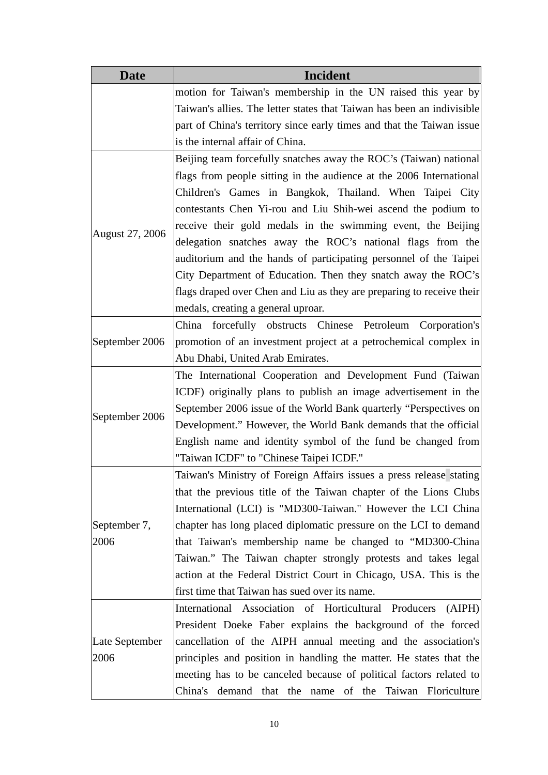| <b>Date</b>            | <b>Incident</b>                                                        |
|------------------------|------------------------------------------------------------------------|
|                        | motion for Taiwan's membership in the UN raised this year by           |
|                        | Taiwan's allies. The letter states that Taiwan has been an indivisible |
|                        | part of China's territory since early times and that the Taiwan issue  |
|                        | is the internal affair of China.                                       |
|                        | Beijing team forcefully snatches away the ROC's (Taiwan) national      |
|                        | flags from people sitting in the audience at the 2006 International    |
|                        | Children's Games in Bangkok, Thailand. When Taipei City                |
|                        | contestants Chen Yi-rou and Liu Shih-wei ascend the podium to          |
|                        | receive their gold medals in the swimming event, the Beijing           |
| August 27, 2006        | delegation snatches away the ROC's national flags from the             |
|                        | auditorium and the hands of participating personnel of the Taipei      |
|                        | City Department of Education. Then they snatch away the ROC's          |
|                        | flags draped over Chen and Liu as they are preparing to receive their  |
|                        | medals, creating a general uproar.                                     |
|                        | China forcefully obstructs Chinese Petroleum Corporation's             |
| September 2006         | promotion of an investment project at a petrochemical complex in       |
|                        | Abu Dhabi, United Arab Emirates.                                       |
|                        | The International Cooperation and Development Fund (Taiwan)            |
|                        | ICDF) originally plans to publish an image advertisement in the        |
|                        | September 2006 issue of the World Bank quarterly "Perspectives on      |
| September 2006         | Development." However, the World Bank demands that the official        |
|                        | English name and identity symbol of the fund be changed from           |
|                        | "Taiwan ICDF" to "Chinese Taipei ICDF."                                |
|                        | Taiwan's Ministry of Foreign Affairs issues a press release stating    |
|                        | that the previous title of the Taiwan chapter of the Lions Clubs       |
|                        | International (LCI) is "MD300-Taiwan." However the LCI China           |
| September 7,           | chapter has long placed diplomatic pressure on the LCI to demand       |
| 2006                   | that Taiwan's membership name be changed to "MD300-China               |
|                        | Taiwan." The Taiwan chapter strongly protests and takes legal          |
|                        | action at the Federal District Court in Chicago, USA. This is the      |
|                        | first time that Taiwan has sued over its name.                         |
| Late September<br>2006 | International Association of Horticultural Producers<br>(AIPH)         |
|                        | President Doeke Faber explains the background of the forced            |
|                        | cancellation of the AIPH annual meeting and the association's          |
|                        | principles and position in handling the matter. He states that the     |
|                        | meeting has to be canceled because of political factors related to     |
|                        | China's demand that the name of the Taiwan Floriculture                |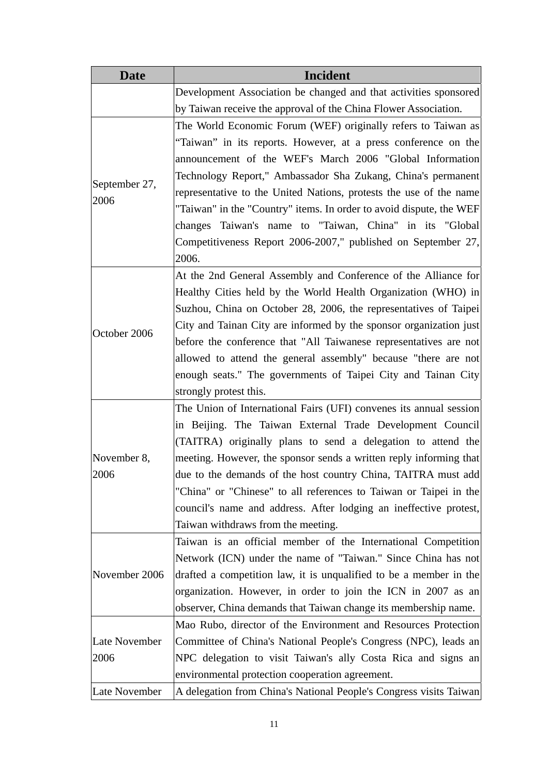| <b>Date</b>   | <b>Incident</b>                                                     |
|---------------|---------------------------------------------------------------------|
|               | Development Association be changed and that activities sponsored    |
|               | by Taiwan receive the approval of the China Flower Association.     |
|               | The World Economic Forum (WEF) originally refers to Taiwan as       |
|               | "Taiwan" in its reports. However, at a press conference on the      |
|               | announcement of the WEF's March 2006 "Global Information            |
|               | Technology Report," Ambassador Sha Zukang, China's permanent        |
| September 27, | representative to the United Nations, protests the use of the name  |
| 2006          | "Taiwan" in the "Country" items. In order to avoid dispute, the WEF |
|               | changes Taiwan's name to "Taiwan, China" in its "Global             |
|               | Competitiveness Report 2006-2007," published on September 27,       |
|               | 2006.                                                               |
|               | At the 2nd General Assembly and Conference of the Alliance for      |
|               | Healthy Cities held by the World Health Organization (WHO) in       |
|               | Suzhou, China on October 28, 2006, the representatives of Taipei    |
| October 2006  | City and Tainan City are informed by the sponsor organization just  |
|               | before the conference that "All Taiwanese representatives are not   |
|               | allowed to attend the general assembly" because "there are not      |
|               | enough seats." The governments of Taipei City and Tainan City       |
|               | strongly protest this.                                              |
|               | The Union of International Fairs (UFI) convenes its annual session  |
|               | in Beijing. The Taiwan External Trade Development Council           |
|               | (TAITRA) originally plans to send a delegation to attend the        |
| November 8,   | meeting. However, the sponsor sends a written reply informing that  |
| 2006          | due to the demands of the host country China, TAITRA must add       |
|               | "China" or "Chinese" to all references to Taiwan or Taipei in the   |
|               | council's name and address. After lodging an ineffective protest,   |
|               | Taiwan withdraws from the meeting.                                  |
|               | Taiwan is an official member of the International Competition       |
|               | Network (ICN) under the name of "Taiwan." Since China has not       |
| November 2006 | drafted a competition law, it is unqualified to be a member in the  |
|               | organization. However, in order to join the ICN in 2007 as an       |
|               | observer, China demands that Taiwan change its membership name.     |
|               | Mao Rubo, director of the Environment and Resources Protection      |
| Late November | Committee of China's National People's Congress (NPC), leads an     |
| 2006          | NPC delegation to visit Taiwan's ally Costa Rica and signs an       |
|               | environmental protection cooperation agreement.                     |
| Late November | A delegation from China's National People's Congress visits Taiwan  |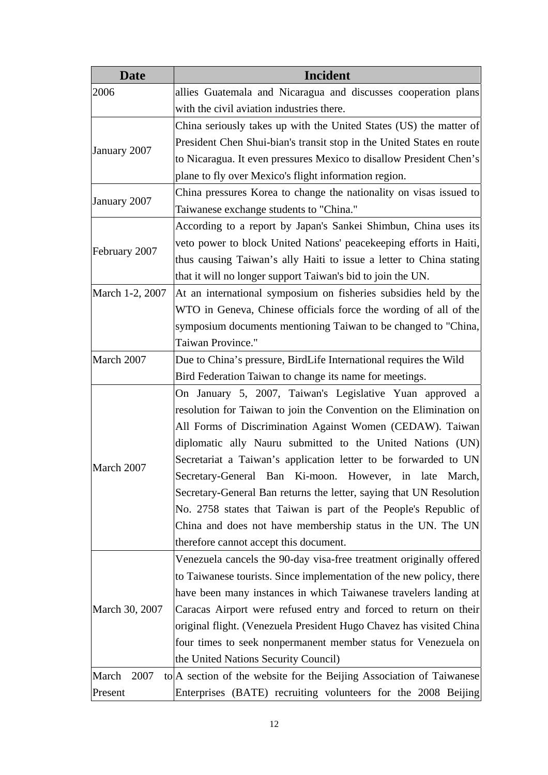| <b>Date</b>     | <b>Incident</b>                                                       |
|-----------------|-----------------------------------------------------------------------|
| 2006            | allies Guatemala and Nicaragua and discusses cooperation plans        |
|                 | with the civil aviation industries there.                             |
|                 | China seriously takes up with the United States (US) the matter of    |
|                 | President Chen Shui-bian's transit stop in the United States en route |
| January 2007    | to Nicaragua. It even pressures Mexico to disallow President Chen's   |
|                 | plane to fly over Mexico's flight information region.                 |
|                 | China pressures Korea to change the nationality on visas issued to    |
| January 2007    | Taiwanese exchange students to "China."                               |
|                 | According to a report by Japan's Sankei Shimbun, China uses its       |
|                 | veto power to block United Nations' peacekeeping efforts in Haiti,    |
| February 2007   | thus causing Taiwan's ally Haiti to issue a letter to China stating   |
|                 | that it will no longer support Taiwan's bid to join the UN.           |
| March 1-2, 2007 | At an international symposium on fisheries subsidies held by the      |
|                 | WTO in Geneva, Chinese officials force the wording of all of the      |
|                 | symposium documents mentioning Taiwan to be changed to "China,        |
|                 | Taiwan Province."                                                     |
| March 2007      | Due to China's pressure, BirdLife International requires the Wild     |
|                 | Bird Federation Taiwan to change its name for meetings.               |
|                 | On January 5, 2007, Taiwan's Legislative Yuan approved a              |
|                 | resolution for Taiwan to join the Convention on the Elimination on    |
|                 | All Forms of Discrimination Against Women (CEDAW). Taiwan             |
|                 | diplomatic ally Nauru submitted to the United Nations (UN)            |
|                 | Secretariat a Taiwan's application letter to be forwarded to UN       |
| March 2007      | Secretary-General Ban Ki-moon. However, in late March,                |
|                 | Secretary-General Ban returns the letter, saying that UN Resolution   |
|                 | No. 2758 states that Taiwan is part of the People's Republic of       |
|                 | China and does not have membership status in the UN. The UN           |
|                 | therefore cannot accept this document.                                |
|                 | Venezuela cancels the 90-day visa-free treatment originally offered   |
|                 | to Taiwanese tourists. Since implementation of the new policy, there  |
|                 | have been many instances in which Taiwanese travelers landing at      |
| March 30, 2007  | Caracas Airport were refused entry and forced to return on their      |
|                 | original flight. (Venezuela President Hugo Chavez has visited China   |
|                 | four times to seek nonpermanent member status for Venezuela on        |
|                 | the United Nations Security Council)                                  |
| March<br>2007   | to A section of the website for the Beijing Association of Taiwanese  |
| Present         | Enterprises (BATE) recruiting volunteers for the 2008 Beijing         |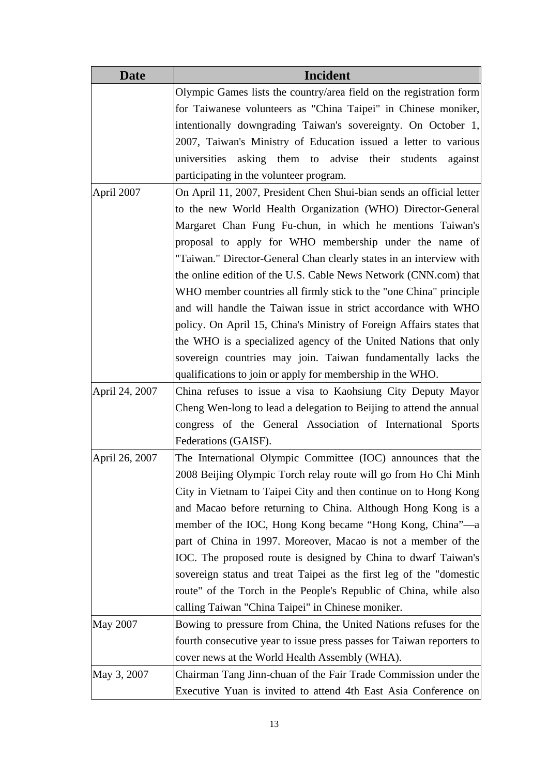| <b>Date</b>     | Incident                                                              |
|-----------------|-----------------------------------------------------------------------|
|                 | Olympic Games lists the country/area field on the registration form   |
|                 | for Taiwanese volunteers as "China Taipei" in Chinese moniker,        |
|                 | intentionally downgrading Taiwan's sovereignty. On October 1,         |
|                 | 2007, Taiwan's Ministry of Education issued a letter to various       |
|                 | universities asking them to advise their students<br>against          |
|                 | participating in the volunteer program.                               |
| April 2007      | On April 11, 2007, President Chen Shui-bian sends an official letter  |
|                 | to the new World Health Organization (WHO) Director-General           |
|                 | Margaret Chan Fung Fu-chun, in which he mentions Taiwan's             |
|                 | proposal to apply for WHO membership under the name of                |
|                 | "Taiwan." Director-General Chan clearly states in an interview with   |
|                 | the online edition of the U.S. Cable News Network (CNN.com) that      |
|                 | WHO member countries all firmly stick to the "one China" principle    |
|                 | and will handle the Taiwan issue in strict accordance with WHO        |
|                 | policy. On April 15, China's Ministry of Foreign Affairs states that  |
|                 | the WHO is a specialized agency of the United Nations that only       |
|                 | sovereign countries may join. Taiwan fundamentally lacks the          |
|                 | qualifications to join or apply for membership in the WHO.            |
| April 24, 2007  | China refuses to issue a visa to Kaohsiung City Deputy Mayor          |
|                 | Cheng Wen-long to lead a delegation to Beijing to attend the annual   |
|                 | congress of the General Association of International Sports           |
|                 | Federations (GAISF).                                                  |
| April 26, 2007  | The International Olympic Committee (IOC) announces that the          |
|                 | 2008 Beijing Olympic Torch relay route will go from Ho Chi Minh       |
|                 | City in Vietnam to Taipei City and then continue on to Hong Kong      |
|                 | and Macao before returning to China. Although Hong Kong is a          |
|                 | member of the IOC, Hong Kong became "Hong Kong, China"—a              |
|                 | part of China in 1997. Moreover, Macao is not a member of the         |
|                 | IOC. The proposed route is designed by China to dwarf Taiwan's        |
|                 | sovereign status and treat Taipei as the first leg of the "domestic"  |
|                 | route" of the Torch in the People's Republic of China, while also     |
|                 | calling Taiwan "China Taipei" in Chinese moniker.                     |
| <b>May 2007</b> | Bowing to pressure from China, the United Nations refuses for the     |
|                 | fourth consecutive year to issue press passes for Taiwan reporters to |
|                 | cover news at the World Health Assembly (WHA).                        |
| May 3, 2007     | Chairman Tang Jinn-chuan of the Fair Trade Commission under the       |
|                 | Executive Yuan is invited to attend 4th East Asia Conference on       |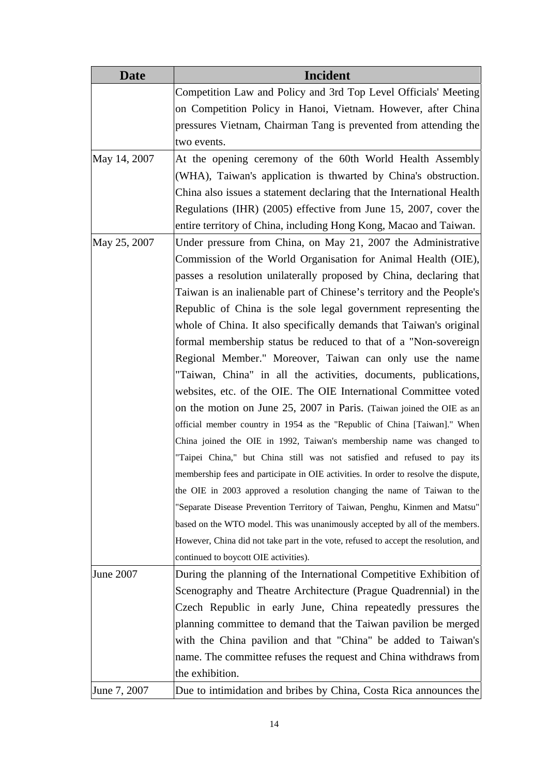| <b>Date</b>      | Incident                                                                            |
|------------------|-------------------------------------------------------------------------------------|
|                  | Competition Law and Policy and 3rd Top Level Officials' Meeting                     |
|                  | on Competition Policy in Hanoi, Vietnam. However, after China                       |
|                  | pressures Vietnam, Chairman Tang is prevented from attending the                    |
|                  | two events.                                                                         |
| May 14, 2007     | At the opening ceremony of the 60th World Health Assembly                           |
|                  | (WHA), Taiwan's application is thwarted by China's obstruction.                     |
|                  | China also issues a statement declaring that the International Health               |
|                  | Regulations (IHR) (2005) effective from June 15, 2007, cover the                    |
|                  | entire territory of China, including Hong Kong, Macao and Taiwan.                   |
| May 25, 2007     | Under pressure from China, on May 21, 2007 the Administrative                       |
|                  | Commission of the World Organisation for Animal Health (OIE),                       |
|                  | passes a resolution unilaterally proposed by China, declaring that                  |
|                  | Taiwan is an inalienable part of Chinese's territory and the People's               |
|                  | Republic of China is the sole legal government representing the                     |
|                  | whole of China. It also specifically demands that Taiwan's original                 |
|                  | formal membership status be reduced to that of a "Non-sovereign                     |
|                  | Regional Member." Moreover, Taiwan can only use the name                            |
|                  | "Taiwan, China" in all the activities, documents, publications,                     |
|                  | websites, etc. of the OIE. The OIE International Committee voted                    |
|                  | on the motion on June 25, 2007 in Paris. (Taiwan joined the OIE as an               |
|                  | official member country in 1954 as the "Republic of China [Taiwan]." When           |
|                  | China joined the OIE in 1992, Taiwan's membership name was changed to               |
|                  | "Taipei China," but China still was not satisfied and refused to pay its            |
|                  | membership fees and participate in OIE activities. In order to resolve the dispute, |
|                  | the OIE in 2003 approved a resolution changing the name of Taiwan to the            |
|                  | "Separate Disease Prevention Territory of Taiwan, Penghu, Kinmen and Matsu"         |
|                  | based on the WTO model. This was unanimously accepted by all of the members.        |
|                  | However, China did not take part in the vote, refused to accept the resolution, and |
|                  | continued to boycott OIE activities).                                               |
| <b>June 2007</b> | During the planning of the International Competitive Exhibition of                  |
|                  | Scenography and Theatre Architecture (Prague Quadrennial) in the                    |
|                  | Czech Republic in early June, China repeatedly pressures the                        |
|                  | planning committee to demand that the Taiwan pavilion be merged                     |
|                  | with the China pavilion and that "China" be added to Taiwan's                       |
|                  | name. The committee refuses the request and China withdraws from                    |
|                  | the exhibition.                                                                     |
| June 7, 2007     | Due to intimidation and bribes by China, Costa Rica announces the                   |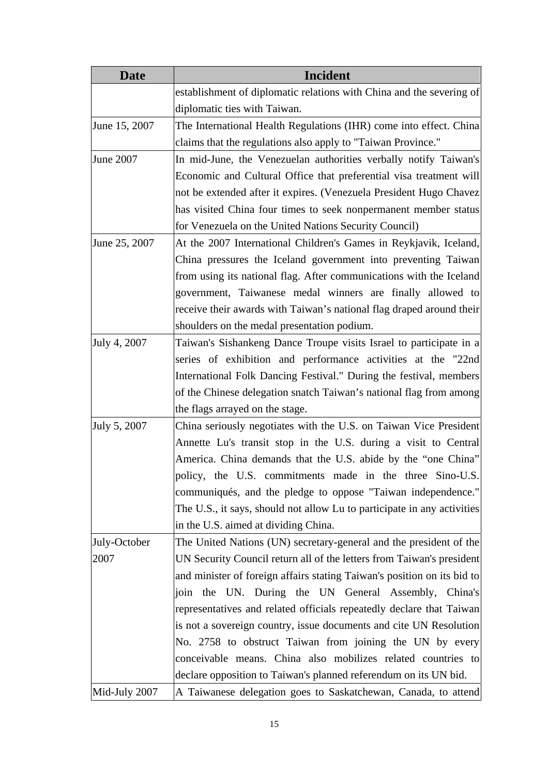| <b>Date</b>      | <b>Incident</b>                                                         |
|------------------|-------------------------------------------------------------------------|
|                  | establishment of diplomatic relations with China and the severing of    |
|                  | diplomatic ties with Taiwan.                                            |
| June 15, 2007    | The International Health Regulations (IHR) come into effect. China      |
|                  | claims that the regulations also apply to "Taiwan Province."            |
| <b>June 2007</b> | In mid-June, the Venezuelan authorities verbally notify Taiwan's        |
|                  | Economic and Cultural Office that preferential visa treatment will      |
|                  | not be extended after it expires. (Venezuela President Hugo Chavez      |
|                  | has visited China four times to seek nonpermanent member status         |
|                  | for Venezuela on the United Nations Security Council)                   |
| June 25, 2007    | At the 2007 International Children's Games in Reykjavik, Iceland,       |
|                  | China pressures the Iceland government into preventing Taiwan           |
|                  | from using its national flag. After communications with the Iceland     |
|                  | government, Taiwanese medal winners are finally allowed to              |
|                  | receive their awards with Taiwan's national flag draped around their    |
|                  | shoulders on the medal presentation podium.                             |
| July 4, 2007     | Taiwan's Sishankeng Dance Troupe visits Israel to participate in a      |
|                  | series of exhibition and performance activities at the "22nd            |
|                  | International Folk Dancing Festival." During the festival, members      |
|                  | of the Chinese delegation snatch Taiwan's national flag from among      |
|                  | the flags arrayed on the stage.                                         |
| July 5, 2007     | China seriously negotiates with the U.S. on Taiwan Vice President       |
|                  | Annette Lu's transit stop in the U.S. during a visit to Central         |
|                  | America. China demands that the U.S. abide by the "one China"           |
|                  | policy, the U.S. commitments made in the three Sino-U.S.                |
|                  | communiqués, and the pledge to oppose "Taiwan independence."            |
|                  | The U.S., it says, should not allow Lu to participate in any activities |
|                  | in the U.S. aimed at dividing China.                                    |
| July-October     | The United Nations (UN) secretary-general and the president of the      |
| 2007             | UN Security Council return all of the letters from Taiwan's president   |
|                  | and minister of foreign affairs stating Taiwan's position on its bid to |
|                  | join the UN. During the UN General Assembly, China's                    |
|                  | representatives and related officials repeatedly declare that Taiwan    |
|                  | is not a sovereign country, issue documents and cite UN Resolution      |
|                  | No. 2758 to obstruct Taiwan from joining the UN by every                |
|                  | conceivable means. China also mobilizes related countries to            |
|                  | declare opposition to Taiwan's planned referendum on its UN bid.        |
| Mid-July 2007    | A Taiwanese delegation goes to Saskatchewan, Canada, to attend          |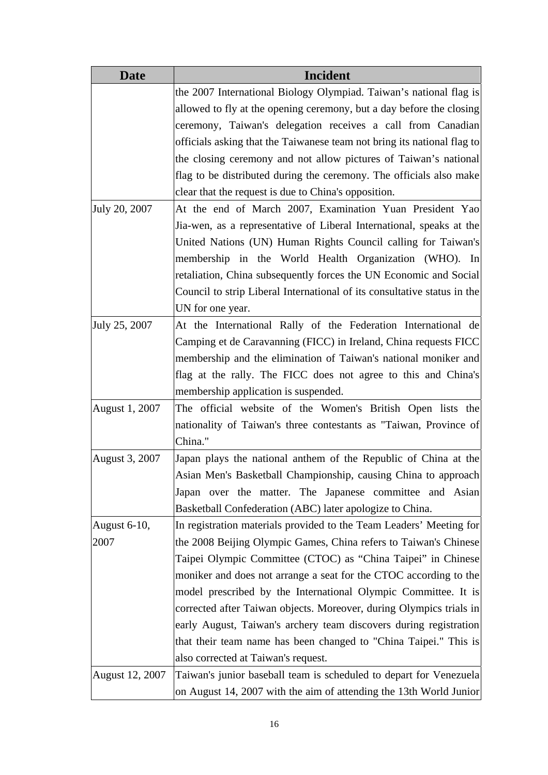| <b>Date</b>     | Incident                                                                 |
|-----------------|--------------------------------------------------------------------------|
|                 | the 2007 International Biology Olympiad. Taiwan's national flag is       |
|                 | allowed to fly at the opening ceremony, but a day before the closing     |
|                 | ceremony, Taiwan's delegation receives a call from Canadian              |
|                 | officials asking that the Taiwanese team not bring its national flag to  |
|                 | the closing ceremony and not allow pictures of Taiwan's national         |
|                 | flag to be distributed during the ceremony. The officials also make      |
|                 | clear that the request is due to China's opposition.                     |
| July 20, 2007   | At the end of March 2007, Examination Yuan President Yao                 |
|                 | Jia-wen, as a representative of Liberal International, speaks at the     |
|                 | United Nations (UN) Human Rights Council calling for Taiwan's            |
|                 | membership in the World Health Organization (WHO). In                    |
|                 | retaliation, China subsequently forces the UN Economic and Social        |
|                 | Council to strip Liberal International of its consultative status in the |
|                 | UN for one year.                                                         |
| July 25, 2007   | At the International Rally of the Federation International de            |
|                 | Camping et de Caravanning (FICC) in Ireland, China requests FICC         |
|                 | membership and the elimination of Taiwan's national moniker and          |
|                 | flag at the rally. The FICC does not agree to this and China's           |
|                 | membership application is suspended.                                     |
| August 1, 2007  | The official website of the Women's British Open lists the               |
|                 | nationality of Taiwan's three contestants as "Taiwan, Province of        |
|                 | China."                                                                  |
| August 3, 2007  | Japan plays the national anthem of the Republic of China at the          |
|                 | Asian Men's Basketball Championship, causing China to approach           |
|                 | Japan over the matter. The Japanese committee and Asian                  |
|                 | Basketball Confederation (ABC) later apologize to China.                 |
| August 6-10,    | In registration materials provided to the Team Leaders' Meeting for      |
| 2007            | the 2008 Beijing Olympic Games, China refers to Taiwan's Chinese         |
|                 | Taipei Olympic Committee (CTOC) as "China Taipei" in Chinese             |
|                 | moniker and does not arrange a seat for the CTOC according to the        |
|                 | model prescribed by the International Olympic Committee. It is           |
|                 | corrected after Taiwan objects. Moreover, during Olympics trials in      |
|                 | early August, Taiwan's archery team discovers during registration        |
|                 | that their team name has been changed to "China Taipei." This is         |
|                 | also corrected at Taiwan's request.                                      |
| August 12, 2007 | Taiwan's junior baseball team is scheduled to depart for Venezuela       |
|                 | on August 14, 2007 with the aim of attending the 13th World Junior       |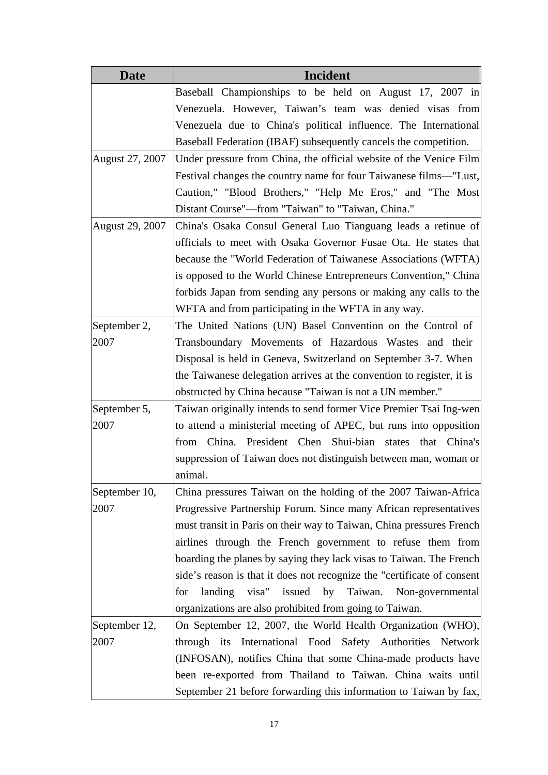| <b>Date</b>            | <b>Incident</b>                                                         |
|------------------------|-------------------------------------------------------------------------|
|                        | Baseball Championships to be held on August 17, 2007 in                 |
|                        | Venezuela. However, Taiwan's team was denied visas from                 |
|                        | Venezuela due to China's political influence. The International         |
|                        | Baseball Federation (IBAF) subsequently cancels the competition.        |
| August 27, 2007        | Under pressure from China, the official website of the Venice Film      |
|                        | Festival changes the country name for four Taiwanese films—"Lust,       |
|                        | Caution," "Blood Brothers," "Help Me Eros," and "The Most               |
|                        | Distant Course"—from "Taiwan" to "Taiwan, China."                       |
| <b>August 29, 2007</b> | China's Osaka Consul General Luo Tianguang leads a retinue of           |
|                        | officials to meet with Osaka Governor Fusae Ota. He states that         |
|                        | because the "World Federation of Taiwanese Associations (WFTA)          |
|                        | is opposed to the World Chinese Entrepreneurs Convention," China        |
|                        | forbids Japan from sending any persons or making any calls to the       |
|                        | WFTA and from participating in the WFTA in any way.                     |
| September 2,           | The United Nations (UN) Basel Convention on the Control of              |
| 2007                   | Transboundary Movements of Hazardous Wastes and their                   |
|                        | Disposal is held in Geneva, Switzerland on September 3-7. When          |
|                        | the Taiwanese delegation arrives at the convention to register, it is   |
|                        | obstructed by China because "Taiwan is not a UN member."                |
| September 5,           | Taiwan originally intends to send former Vice Premier Tsai Ing-wen      |
| 2007                   | to attend a ministerial meeting of APEC, but runs into opposition       |
|                        | from China. President Chen Shui-bian states<br>that China's             |
|                        | suppression of Taiwan does not distinguish between man, woman or        |
|                        | animal.                                                                 |
| September 10,          | China pressures Taiwan on the holding of the 2007 Taiwan-Africa         |
| 2007                   | Progressive Partnership Forum. Since many African representatives       |
|                        | must transit in Paris on their way to Taiwan, China pressures French    |
|                        | airlines through the French government to refuse them from              |
|                        | boarding the planes by saying they lack visas to Taiwan. The French     |
|                        | side's reason is that it does not recognize the "certificate of consent |
|                        | landing visa" issued by Taiwan.<br>for<br>Non-governmental              |
|                        | organizations are also prohibited from going to Taiwan.                 |
| September 12,          | On September 12, 2007, the World Health Organization (WHO),             |
| 2007                   | through its International Food Safety Authorities Network               |
|                        | (INFOSAN), notifies China that some China-made products have            |
|                        | been re-exported from Thailand to Taiwan. China waits until             |
|                        | September 21 before forwarding this information to Taiwan by fax,       |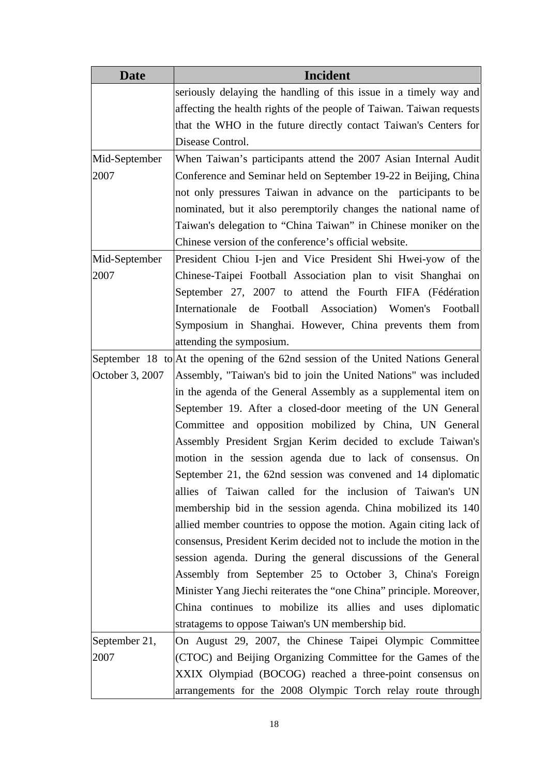| <b>Date</b>     | Incident                                                                         |
|-----------------|----------------------------------------------------------------------------------|
|                 | seriously delaying the handling of this issue in a timely way and                |
|                 | affecting the health rights of the people of Taiwan. Taiwan requests             |
|                 | that the WHO in the future directly contact Taiwan's Centers for                 |
|                 | Disease Control.                                                                 |
| Mid-September   | When Taiwan's participants attend the 2007 Asian Internal Audit                  |
| 2007            | Conference and Seminar held on September 19-22 in Beijing, China                 |
|                 | not only pressures Taiwan in advance on the participants to be                   |
|                 | nominated, but it also peremptorily changes the national name of                 |
|                 | Taiwan's delegation to "China Taiwan" in Chinese moniker on the                  |
|                 | Chinese version of the conference's official website.                            |
| Mid-September   | President Chiou I-jen and Vice President Shi Hwei-yow of the                     |
| 2007            | Chinese-Taipei Football Association plan to visit Shanghai on                    |
|                 | September 27, 2007 to attend the Fourth FIFA (Fédération)                        |
|                 | Internationale<br>Football Association) Women's Football<br>de                   |
|                 | Symposium in Shanghai. However, China prevents them from                         |
|                 | attending the symposium.                                                         |
|                 | September 18 to At the opening of the 62nd session of the United Nations General |
| October 3, 2007 | Assembly, "Taiwan's bid to join the United Nations" was included                 |
|                 | in the agenda of the General Assembly as a supplemental item on                  |
|                 | September 19. After a closed-door meeting of the UN General                      |
|                 | Committee and opposition mobilized by China, UN General                          |
|                 | Assembly President Srgjan Kerim decided to exclude Taiwan's                      |
|                 | motion in the session agenda due to lack of consensus. On                        |
|                 | September 21, the 62nd session was convened and 14 diplomatic                    |
|                 | allies of Taiwan called for the inclusion of Taiwan's UN                         |
|                 | membership bid in the session agenda. China mobilized its 140                    |
|                 | allied member countries to oppose the motion. Again citing lack of               |
|                 | consensus, President Kerim decided not to include the motion in the              |
|                 | session agenda. During the general discussions of the General                    |
|                 | Assembly from September 25 to October 3, China's Foreign                         |
|                 | Minister Yang Jiechi reiterates the "one China" principle. Moreover,             |
|                 | China continues to mobilize its allies and uses diplomatic                       |
|                 | stratagems to oppose Taiwan's UN membership bid.                                 |
| September 21,   | On August 29, 2007, the Chinese Taipei Olympic Committee                         |
| 2007            | (CTOC) and Beijing Organizing Committee for the Games of the                     |
|                 | XXIX Olympiad (BOCOG) reached a three-point consensus on                         |
|                 | arrangements for the 2008 Olympic Torch relay route through                      |